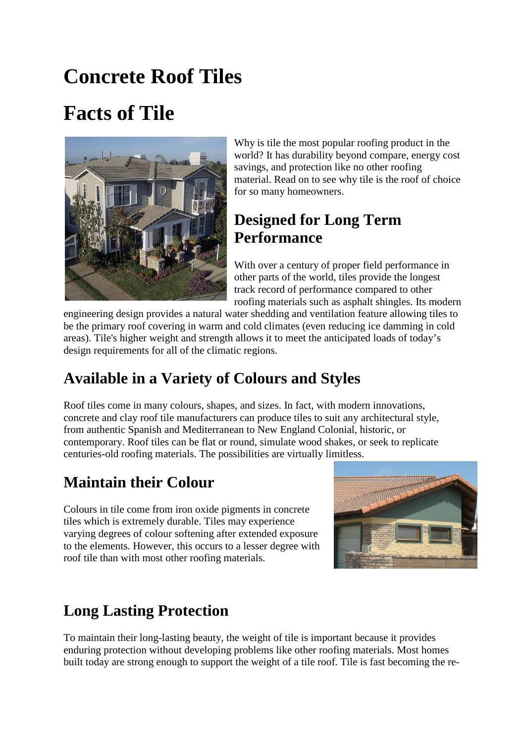# **Concrete Roof Tiles**

# **Facts of Tile**



Why is tile the most popular roofing product in the world? It has durability beyond compare, energy cost savings, and protection like no other roofing material. Read on to see why tile is the roof of choice for so many homeowners.

### **Designed for Long Term Performance**

With over a century of proper field performance in other parts of the world, tiles provide the longest track record of performance compared to other roofing materials such as asphalt shingles. Its modern

engineering design provides a natural water shedding and ventilation feature allowing tiles to be the primary roof covering in warm and cold climates (even reducing ice damming in cold areas). Tile's higher weight and strength allows it to meet the anticipated loads of today's design requirements for all of the climatic regions.

## **Available in a Variety of Colours and Styles**

Roof tiles come in many colours, shapes, and sizes. In fact, with modern innovations, concrete and clay roof tile manufacturers can produce tiles to suit any architectural style, from authentic Spanish and Mediterranean to New England Colonial, historic, or contemporary. Roof tiles can be flat or round, simulate wood shakes, or seek to replicate centuries-old roofing materials. The possibilities are virtually limitless.

### **Maintain their Colour**

Colours in tile come from iron oxide pigments in concrete tiles which is extremely durable. Tiles may experience varying degrees of colour softening after extended exposure to the elements. However, this occurs to a lesser degree with roof tile than with most other roofing materials.



## **Long Lasting Protection**

To maintain their long-lasting beauty, the weight of tile is important because it provides enduring protection without developing problems like other roofing materials. Most homes built today are strong enough to support the weight of a tile roof. Tile is fast becoming the re